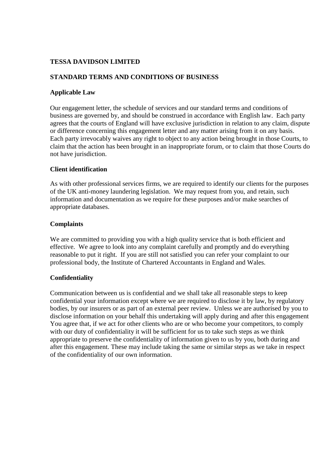# **TESSA DAVIDSON LIMITED**

## **STANDARD TERMS AND CONDITIONS OF BUSINESS**

### **Applicable Law**

Our engagement letter, the schedule of services and our standard terms and conditions of business are governed by, and should be construed in accordance with English law. Each party agrees that the courts of England will have exclusive jurisdiction in relation to any claim, dispute or difference concerning this engagement letter and any matter arising from it on any basis. Each party irrevocably waives any right to object to any action being brought in those Courts, to claim that the action has been brought in an inappropriate forum, or to claim that those Courts do not have jurisdiction.

## **Client identification**

As with other professional services firms, we are required to identify our clients for the purposes of the UK anti-money laundering legislation. We may request from you, and retain, such information and documentation as we require for these purposes and/or make searches of appropriate databases.

## **Complaints**

We are committed to providing you with a high quality service that is both efficient and effective. We agree to look into any complaint carefully and promptly and do everything reasonable to put it right. If you are still not satisfied you can refer your complaint to our professional body, the Institute of Chartered Accountants in England and Wales.

### **Confidentiality**

Communication between us is confidential and we shall take all reasonable steps to keep confidential your information except where we are required to disclose it by law, by regulatory bodies, by our insurers or as part of an external peer review. Unless we are authorised by you to disclose information on your behalf this undertaking will apply during and after this engagement You agree that, if we act for other clients who are or who become your competitors, to comply with our duty of confidentiality it will be sufficient for us to take such steps as we think appropriate to preserve the confidentiality of information given to us by you, both during and after this engagement. These may include taking the same or similar steps as we take in respect of the confidentiality of our own information.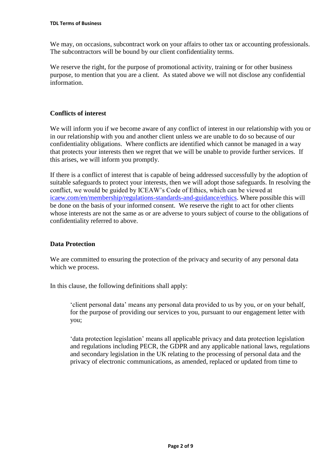We may, on occasions, subcontract work on your affairs to other tax or accounting professionals. The subcontractors will be bound by our client confidentiality terms.

We reserve the right, for the purpose of promotional activity, training or for other business purpose, to mention that you are a client. As stated above we will not disclose any confidential information.

## **Conflicts of interest**

We will inform you if we become aware of any conflict of interest in our relationship with you or in our relationship with you and another client unless we are unable to do so because of our confidentiality obligations. Where conflicts are identified which cannot be managed in a way that protects your interests then we regret that we will be unable to provide further services. If this arises, we will inform you promptly.

If there is a conflict of interest that is capable of being addressed successfully by the adoption of suitable safeguards to protect your interests, then we will adopt those safeguards. In resolving the conflict, we would be guided by ICEAW's Code of Ethics, which can be viewed at [icaew.com/en/membership/regulations-standards-and-guidance/ethics.](https://www.icaew.com/en/membership/regulations-standards-and-guidance/ethics) Where possible this will be done on the basis of your informed consent. We reserve the right to act for other clients whose interests are not the same as or are adverse to yours subject of course to the obligations of confidentiality referred to above.

## **Data Protection**

We are committed to ensuring the protection of the privacy and security of any personal data which we process.

In this clause, the following definitions shall apply:

'client personal data' means any personal data provided to us by you, or on your behalf, for the purpose of providing our services to you, pursuant to our engagement letter with you;

'data protection legislation' means all applicable privacy and data protection legislation and regulations including PECR, the GDPR and any applicable national laws, regulations and secondary legislation in the UK relating to the processing of personal data and the privacy of electronic communications, as amended, replaced or updated from time to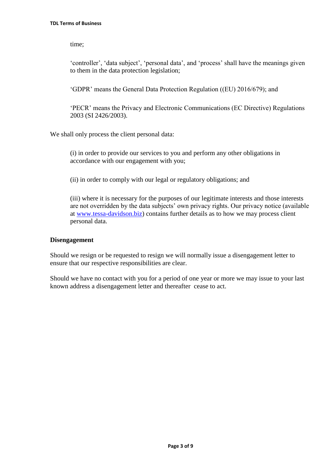time;

'controller', 'data subject', 'personal data', and 'process' shall have the meanings given to them in the data protection legislation;

'GDPR' means the General Data Protection Regulation ((EU) 2016/679); and

'PECR' means the Privacy and Electronic Communications (EC Directive) Regulations 2003 (SI 2426/2003).

We shall only process the client personal data:

(i) in order to provide our services to you and perform any other obligations in accordance with our engagement with you;

(ii) in order to comply with our legal or regulatory obligations; and

(iii) where it is necessary for the purposes of our legitimate interests and those interests are not overridden by the data subjects' own privacy rights. Our privacy notice (available at [www.tessa-davidson.biz\)](http://www.tessa-davidson.biz/) contains further details as to how we may process client personal data.

### **Disengagement**

Should we resign or be requested to resign we will normally issue a disengagement letter to ensure that our respective responsibilities are clear.

Should we have no contact with you for a period of one year or more we may issue to your last known address a disengagement letter and thereafter cease to act.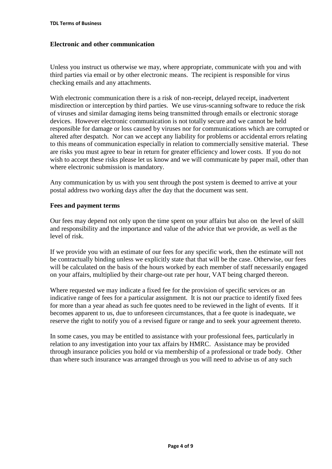### **Electronic and other communication**

Unless you instruct us otherwise we may, where appropriate, communicate with you and with third parties via email or by other electronic means. The recipient is responsible for virus checking emails and any attachments.

With electronic communication there is a risk of non-receipt, delayed receipt, inadvertent misdirection or interception by third parties. We use virus-scanning software to reduce the risk of viruses and similar damaging items being transmitted through emails or electronic storage devices. However electronic communication is not totally secure and we cannot be held responsible for damage or loss caused by viruses nor for communications which are corrupted or altered after despatch. Nor can we accept any liability for problems or accidental errors relating to this means of communication especially in relation to commercially sensitive material. These are risks you must agree to bear in return for greater efficiency and lower costs. If you do not wish to accept these risks please let us know and we will communicate by paper mail, other than where electronic submission is mandatory.

Any communication by us with you sent through the post system is deemed to arrive at your postal address two working days after the day that the document was sent.

## **Fees and payment terms**

Our fees may depend not only upon the time spent on your affairs but also on the level of skill and responsibility and the importance and value of the advice that we provide, as well as the level of risk.

If we provide you with an estimate of our fees for any specific work, then the estimate will not be contractually binding unless we explicitly state that that will be the case. Otherwise, our fees will be calculated on the basis of the hours worked by each member of staff necessarily engaged on your affairs, multiplied by their charge-out rate per hour, VAT being charged thereon.

Where requested we may indicate a fixed fee for the provision of specific services or an indicative range of fees for a particular assignment. It is not our practice to identify fixed fees for more than a year ahead as such fee quotes need to be reviewed in the light of events. If it becomes apparent to us, due to unforeseen circumstances, that a fee quote is inadequate, we reserve the right to notify you of a revised figure or range and to seek your agreement thereto.

In some cases, you may be entitled to assistance with your professional fees, particularly in relation to any investigation into your tax affairs by HMRC. Assistance may be provided through insurance policies you hold or via membership of a professional or trade body. Other than where such insurance was arranged through us you will need to advise us of any such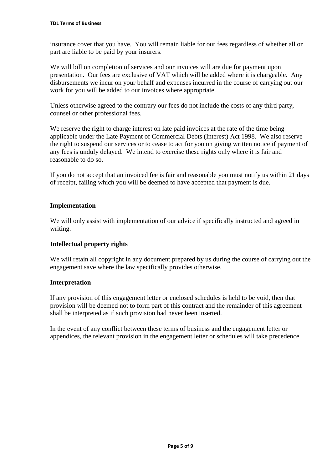insurance cover that you have. You will remain liable for our fees regardless of whether all or part are liable to be paid by your insurers.

We will bill on completion of services and our invoices will are due for payment upon presentation. Our fees are exclusive of VAT which will be added where it is chargeable. Any disbursements we incur on your behalf and expenses incurred in the course of carrying out our work for you will be added to our invoices where appropriate.

Unless otherwise agreed to the contrary our fees do not include the costs of any third party, counsel or other professional fees.

We reserve the right to charge interest on late paid invoices at the rate of the time being applicable under the Late Payment of Commercial Debts (Interest) Act 1998. We also reserve the right to suspend our services or to cease to act for you on giving written notice if payment of any fees is unduly delayed. We intend to exercise these rights only where it is fair and reasonable to do so.

If you do not accept that an invoiced fee is fair and reasonable you must notify us within 21 days of receipt, failing which you will be deemed to have accepted that payment is due.

## **Implementation**

We will only assist with implementation of our advice if specifically instructed and agreed in writing.

### **Intellectual property rights**

We will retain all copyright in any document prepared by us during the course of carrying out the engagement save where the law specifically provides otherwise.

### **Interpretation**

If any provision of this engagement letter or enclosed schedules is held to be void, then that provision will be deemed not to form part of this contract and the remainder of this agreement shall be interpreted as if such provision had never been inserted.

In the event of any conflict between these terms of business and the engagement letter or appendices, the relevant provision in the engagement letter or schedules will take precedence.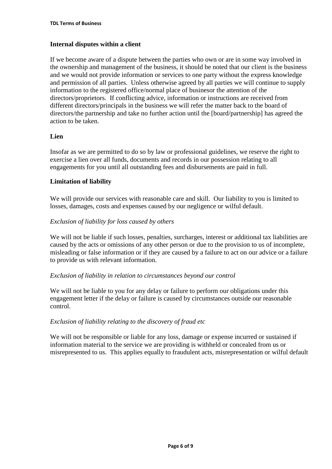## **Internal disputes within a client**

If we become aware of a dispute between the parties who own or are in some way involved in the ownership and management of the business, it should be noted that our client is the business and we would not provide information or services to one party without the express knowledge and permission of all parties. Unless otherwise agreed by all parties we will continue to supply information to the registered office/normal place of businesor the attention of the directors/proprietors. If conflicting advice, information or instructions are received from different directors/principals in the business we will refer the matter back to the board of directors/the partnership and take no further action until the [board/partnership] has agreed the action to be taken.

## **Lien**

Insofar as we are permitted to do so by law or professional guidelines, we reserve the right to exercise a lien over all funds, documents and records in our possession relating to all engagements for you until all outstanding fees and disbursements are paid in full.

## **Limitation of liability**

We will provide our services with reasonable care and skill. Our liability to you is limited to losses, damages, costs and expenses caused by our negligence or wilful default.

## *Exclusion of liability for loss caused by others*

We will not be liable if such losses, penalties, surcharges, interest or additional tax liabilities are caused by the acts or omissions of any other person or due to the provision to us of incomplete, misleading or false information or if they are caused by a failure to act on our advice or a failure to provide us with relevant information.

### *Exclusion of liability in relation to circumstances beyond our control*

We will not be liable to you for any delay or failure to perform our obligations under this engagement letter if the delay or failure is caused by circumstances outside our reasonable control.

### *Exclusion of liability relating to the discovery of fraud etc*

We will not be responsible or liable for any loss, damage or expense incurred or sustained if information material to the service we are providing is withheld or concealed from us or misrepresented to us. This applies equally to fraudulent acts, misrepresentation or wilful default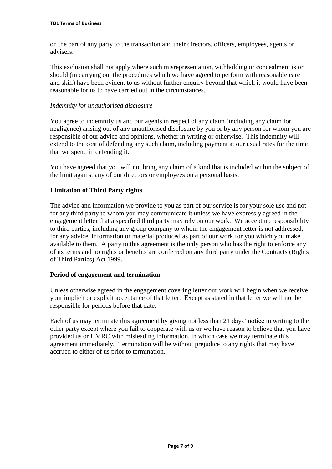on the part of any party to the transaction and their directors, officers, employees, agents or advisers.

This exclusion shall not apply where such misrepresentation, withholding or concealment is or should (in carrying out the procedures which we have agreed to perform with reasonable care and skill) have been evident to us without further enquiry beyond that which it would have been reasonable for us to have carried out in the circumstances.

### *Indemnity for unauthorised disclosure*

You agree to indemnify us and our agents in respect of any claim (including any claim for negligence) arising out of any unauthorised disclosure by you or by any person for whom you are responsible of our advice and opinions, whether in writing or otherwise. This indemnity will extend to the cost of defending any such claim, including payment at our usual rates for the time that we spend in defending it.

You have agreed that you will not bring any claim of a kind that is included within the subject of the limit against any of our directors or employees on a personal basis.

## **Limitation of Third Party rights**

The advice and information we provide to you as part of our service is for your sole use and not for any third party to whom you may communicate it unless we have expressly agreed in the engagement letter that a specified third party may rely on our work. We accept no responsibility to third parties, including any group company to whom the engagement letter is not addressed, for any advice, information or material produced as part of our work for you which you make available to them. A party to this agreement is the only person who has the right to enforce any of its terms and no rights or benefits are conferred on any third party under the Contracts (Rights of Third Parties) Act 1999.

### **Period of engagement and termination**

Unless otherwise agreed in the engagement covering letter our work will begin when we receive your implicit or explicit acceptance of that letter. Except as stated in that letter we will not be responsible for periods before that date.

Each of us may terminate this agreement by giving not less than 21 days' notice in writing to the other party except where you fail to cooperate with us or we have reason to believe that you have provided us or HMRC with misleading information, in which case we may terminate this agreement immediately. Termination will be without prejudice to any rights that may have accrued to either of us prior to termination.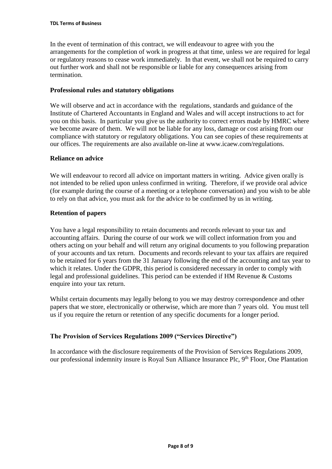In the event of termination of this contract, we will endeavour to agree with you the arrangements for the completion of work in progress at that time, unless we are required for legal or regulatory reasons to cease work immediately. In that event, we shall not be required to carry out further work and shall not be responsible or liable for any consequences arising from termination.

### **Professional rules and statutory obligations**

We will observe and act in accordance with the regulations, standards and guidance of the Institute of Chartered Accountants in England and Wales and will accept instructions to act for you on this basis. In particular you give us the authority to correct errors made by HMRC where we become aware of them. We will not be liable for any loss, damage or cost arising from our compliance with statutory or regulatory obligations. You can see copies of these requirements at our offices. The requirements are also available on-line at www.icaew.com/regulations.

### **Reliance on advice**

We will endeavour to record all advice on important matters in writing. Advice given orally is not intended to be relied upon unless confirmed in writing. Therefore, if we provide oral advice (for example during the course of a meeting or a telephone conversation) and you wish to be able to rely on that advice, you must ask for the advice to be confirmed by us in writing.

## **Retention of papers**

You have a legal responsibility to retain documents and records relevant to your tax and accounting affairs. During the course of our work we will collect information from you and others acting on your behalf and will return any original documents to you following preparation of your accounts and tax return. Documents and records relevant to your tax affairs are required to be retained for 6 years from the 31 January following the end of the accounting and tax year to which it relates. Under the GDPR, this period is considered necessary in order to comply with legal and professional guidelines. This period can be extended if HM Revenue & Customs enquire into your tax return.

Whilst certain documents may legally belong to you we may destroy correspondence and other papers that we store, electronically or otherwise, which are more than 7 years old. You must tell us if you require the return or retention of any specific documents for a longer period.

## **The Provision of Services Regulations 2009 ("Services Directive")**

In accordance with the disclosure requirements of the Provision of Services Regulations 2009, our professional indemnity insure is Royal Sun Alliance Insurance Plc, 9<sup>th</sup> Floor, One Plantation